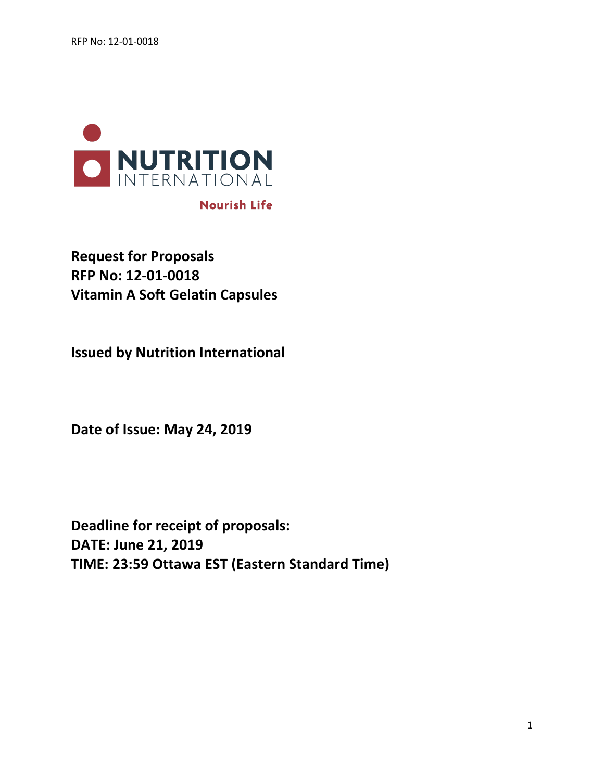

# **Nourish Life**

**Request for Proposals RFP No: 12-01-0018 Vitamin A Soft Gelatin Capsules**

**Issued by Nutrition International** 

**Date of Issue: May 24, 2019**

**Deadline for receipt of proposals: DATE: June 21, 2019 TIME: 23:59 Ottawa EST (Eastern Standard Time)**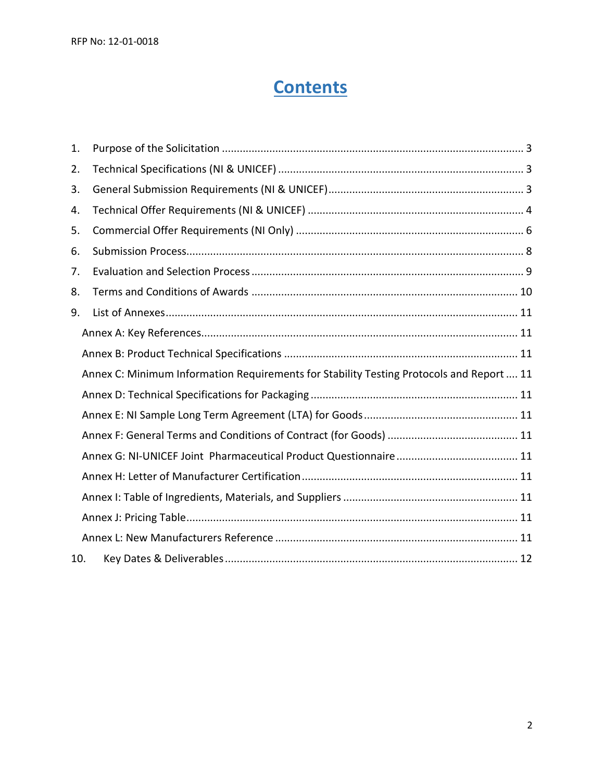# **Contents**

| 1.  |                                                                                          |  |  |
|-----|------------------------------------------------------------------------------------------|--|--|
| 2.  |                                                                                          |  |  |
| 3.  |                                                                                          |  |  |
| 4.  |                                                                                          |  |  |
| 5.  |                                                                                          |  |  |
| 6.  |                                                                                          |  |  |
| 7.  |                                                                                          |  |  |
| 8.  |                                                                                          |  |  |
| 9.  |                                                                                          |  |  |
|     |                                                                                          |  |  |
|     |                                                                                          |  |  |
|     | Annex C: Minimum Information Requirements for Stability Testing Protocols and Report  11 |  |  |
|     |                                                                                          |  |  |
|     |                                                                                          |  |  |
|     |                                                                                          |  |  |
|     |                                                                                          |  |  |
|     |                                                                                          |  |  |
|     |                                                                                          |  |  |
|     |                                                                                          |  |  |
|     |                                                                                          |  |  |
| 10. |                                                                                          |  |  |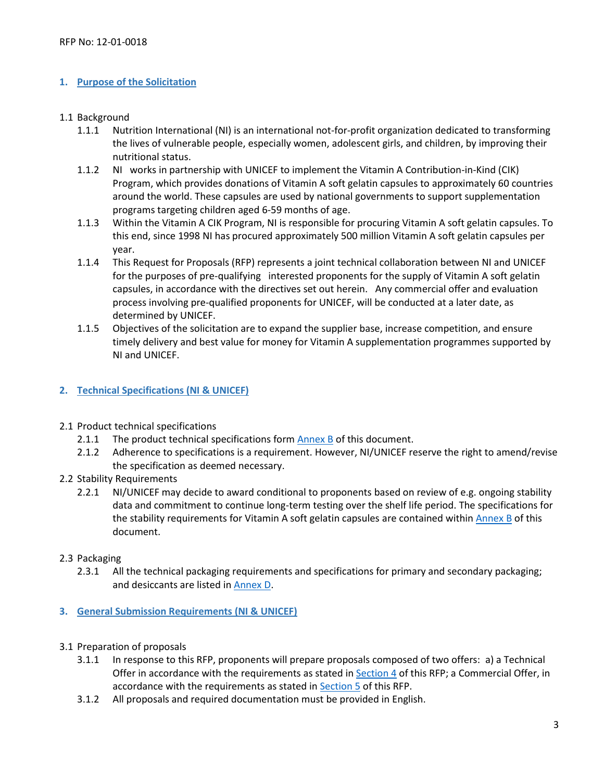## <span id="page-2-0"></span>**1. Purpose of the Solicitation**

#### 1.1 Background

- 1.1.1 Nutrition International (NI) is an international not-for-profit organization dedicated to transforming the lives of vulnerable people, especially women, adolescent girls, and children, by improving their nutritional status.
- 1.1.2 NI works in partnership with UNICEF to implement the Vitamin A Contribution-in-Kind (CIK) Program, which provides donations of Vitamin A soft gelatin capsules to approximately 60 countries around the world. These capsules are used by national governments to support supplementation programs targeting children aged 6-59 months of age.
- 1.1.3 Within the Vitamin A CIK Program, NI is responsible for procuring Vitamin A soft gelatin capsules. To this end, since 1998 NI has procured approximately 500 million Vitamin A soft gelatin capsules per year.
- 1.1.4 This Request for Proposals (RFP) represents a joint technical collaboration between NI and UNICEF for the purposes of pre-qualifying interested proponents for the supply of Vitamin A soft gelatin capsules, in accordance with the directives set out herein. Any commercial offer and evaluation process involving pre-qualified proponents for UNICEF, will be conducted at a later date, as determined by UNICEF.
- 1.1.5 Objectives of the solicitation are to expand the supplier base, increase competition, and ensure timely delivery and best value for money for Vitamin A supplementation programmes supported by NI and UNICEF.

## <span id="page-2-1"></span>**2. Technical Specifications (NI & UNICEF)**

- 2.1 Product technical specifications
	- 2.1.1 The product technical specifications form [Annex B](https://www.nutritionintl.org/content/user_files/2019/05/Annex-B_VAC-Technical-Specification_final.pdf) of this document.
	- 2.1.2 Adherence to specifications is a requirement. However, NI/UNICEF reserve the right to amend/revise the specification as deemed necessary.
- 2.2 Stability Requirements
	- 2.2.1 NI/UNICEF may decide to award conditional to proponents based on review of e.g. ongoing stability data and commitment to continue long-term testing over the shelf life period. The specifications for the stability requirements for Vitamin A soft gelatin capsules are contained within [Annex B](https://www.nutritionintl.org/content/user_files/2019/05/Annex-B_VAC-Technical-Specification_final.pdf) of this document.

## 2.3 Packaging

- 2.3.1 All the technical packaging requirements and specifications for primary and secondary packaging; and desiccants are listed in [Annex D.](https://www.nutritionintl.org/content/user_files/2019/05/Annex-D_Technical-Specifications-for-Packaging.pdf)
- <span id="page-2-2"></span>**3. General Submission Requirements (NI & UNICEF)**
- 3.1 Preparation of proposals
	- 3.1.1 In response to this RFP, proponents will prepare proposals composed of two offers: a) a Technical Offer in accordance with the requirements as stated in [Section 4](#page-3-1) of this RFP; a Commercial Offer, in accordance with the requirements as stated i[n Section 5](#page-2-2) of this RFP.
	- 3.1.2 All proposals and required documentation must be provided in English.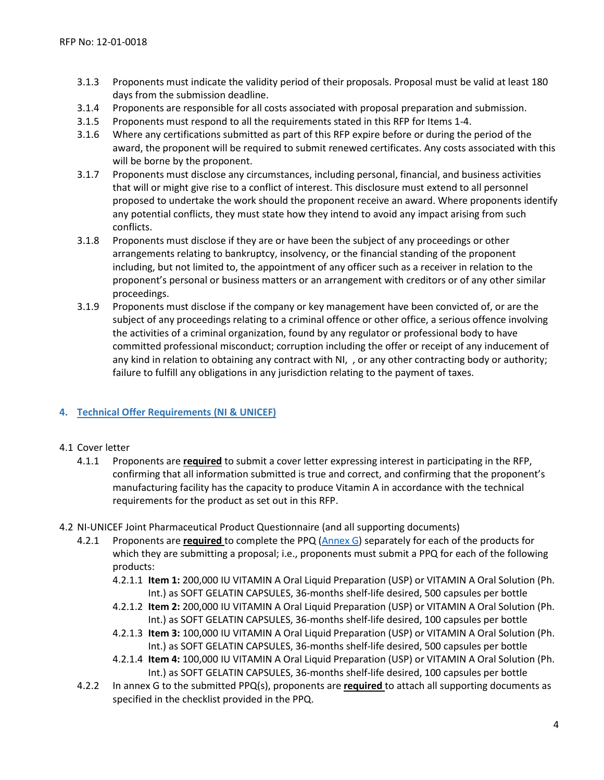- 3.1.3 Proponents must indicate the validity period of their proposals. Proposal must be valid at least 180 days from the submission deadline.
- 3.1.4 Proponents are responsible for all costs associated with proposal preparation and submission.
- 3.1.5 Proponents must respond to all the requirements stated in this RFP for Items 1-4.
- 3.1.6 Where any certifications submitted as part of this RFP expire before or during the period of the award, the proponent will be required to submit renewed certificates. Any costs associated with this will be borne by the proponent.
- 3.1.7 Proponents must disclose any circumstances, including personal, financial, and business activities that will or might give rise to a conflict of interest. This disclosure must extend to all personnel proposed to undertake the work should the proponent receive an award. Where proponents identify any potential conflicts, they must state how they intend to avoid any impact arising from such conflicts.
- 3.1.8 Proponents must disclose if they are or have been the subject of any proceedings or other arrangements relating to bankruptcy, insolvency, or the financial standing of the proponent including, but not limited to, the appointment of any officer such as a receiver in relation to the proponent's personal or business matters or an arrangement with creditors or of any other similar proceedings.
- <span id="page-3-1"></span>3.1.9 Proponents must disclose if the company or key management have been convicted of, or are the subject of any proceedings relating to a criminal offence or other office, a serious offence involving the activities of a criminal organization, found by any regulator or professional body to have committed professional misconduct; corruption including the offer or receipt of any inducement of any kind in relation to obtaining any contract with NI, , or any other contracting body or authority; failure to fulfill any obligations in any jurisdiction relating to the payment of taxes.

## <span id="page-3-0"></span>**4. Technical Offer Requirements (NI & UNICEF)**

## 4.1 Cover letter

- 4.1.1 Proponents are **required** to submit a cover letter expressing interest in participating in the RFP, confirming that all information submitted is true and correct, and confirming that the proponent's manufacturing facility has the capacity to produce Vitamin A in accordance with the technical requirements for the product as set out in this RFP.
- 4.2 NI-UNICEF Joint Pharmaceutical Product Questionnaire (and all supporting documents)
	- 4.2.1 Proponents are **required** to complete the PPQ [\(Annex G\)](https://www.nutritionintl.org/content/user_files/2019/05/Annex-G_NI-UNICEF-PPQ_Final.pdf) separately for each of the products for which they are submitting a proposal; i.e., proponents must submit a PPQ for each of the following products:
		- 4.2.1.1 **Item 1:** 200,000 IU VITAMIN A Oral Liquid Preparation (USP) or VITAMIN A Oral Solution (Ph. Int.) as SOFT GELATIN CAPSULES, 36-months shelf-life desired, 500 capsules per bottle
		- 4.2.1.2 **Item 2:** 200,000 IU VITAMIN A Oral Liquid Preparation (USP) or VITAMIN A Oral Solution (Ph. Int.) as SOFT GELATIN CAPSULES, 36-months shelf-life desired, 100 capsules per bottle
		- 4.2.1.3 **Item 3:** 100,000 IU VITAMIN A Oral Liquid Preparation (USP) or VITAMIN A Oral Solution (Ph. Int.) as SOFT GELATIN CAPSULES, 36-months shelf-life desired, 500 capsules per bottle
		- 4.2.1.4 **Item 4:** 100,000 IU VITAMIN A Oral Liquid Preparation (USP) or VITAMIN A Oral Solution (Ph. Int.) as SOFT GELATIN CAPSULES, 36-months shelf-life desired, 100 capsules per bottle
	- 4.2.2 In annex G to the submitted PPQ(s), proponents are **required** to attach all supporting documents as specified in the checklist provided in the PPQ.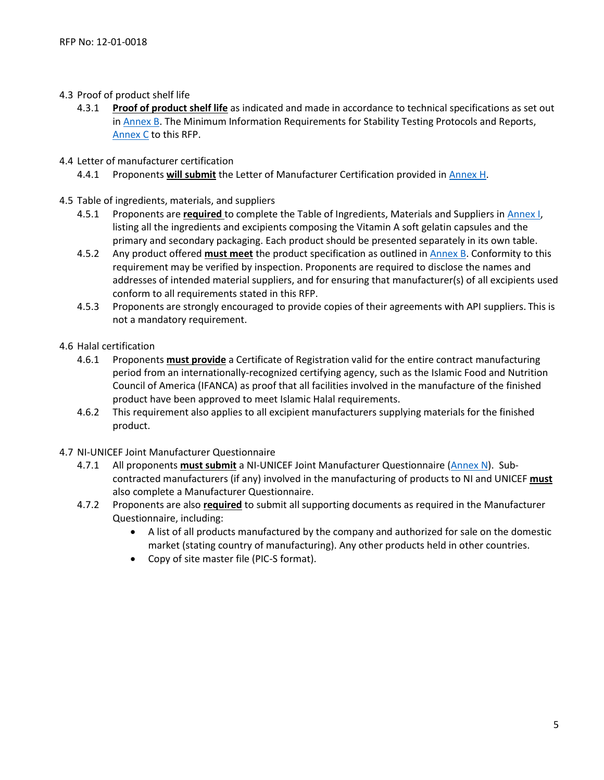- 4.3 Proof of product shelf life
	- 4.3.1 **Proof of product shelf life** as indicated and made in accordance to technical specifications as set out in [Annex B.](https://www.nutritionintl.org/content/user_files/2019/05/Annex-B_VAC-Technical-Specification_final.pdf) The Minimum Information Requirements for Stability Testing Protocols and Reports, [Annex C](https://www.nutritionintl.org/content/user_files/2019/05/Annex-C_Minimum-Information-Requirements-for-Stability-Testing-Protocols-and-Reports.pdf) to this RFP.

## 4.4 Letter of manufacturer certification

- 4.4.1 Proponents **will submit** the Letter of Manufacturer Certification provided i[n Annex H.](https://www.nutritionintl.org/content/user_files/2019/05/ANNEX-I-M_Ingredients-Pricing-Delivery-References.xlsx)
- 4.5 Table of ingredients, materials, and suppliers
	- 4.5.1 Proponents are **required** to complete the Table of Ingredients, Materials and Suppliers in [Annex I,](https://www.nutritionintl.org/content/user_files/2019/05/ANNEX-I-M_Ingredients-Pricing-Delivery-References.xlsx) listing all the ingredients and excipients composing the Vitamin A soft gelatin capsules and the primary and secondary packaging. Each product should be presented separately in its own table.
	- 4.5.2 Any product offered **must meet** the product specification as outlined in [Annex B.](https://www.nutritionintl.org/content/user_files/2019/05/Annex-B_VAC-Technical-Specification_final.pdf) Conformity to this requirement may be verified by inspection. Proponents are required to disclose the names and addresses of intended material suppliers, and for ensuring that manufacturer(s) of all excipients used conform to all requirements stated in this RFP.
	- 4.5.3 Proponents are strongly encouraged to provide copies of their agreements with API suppliers. This is not a mandatory requirement.
- 4.6 Halal certification
	- 4.6.1 Proponents **must provide** a Certificate of Registration valid for the entire contract manufacturing period from an internationally-recognized certifying agency, such as the Islamic Food and Nutrition Council of America (IFANCA) as proof that all facilities involved in the manufacture of the finished product have been approved to meet Islamic Halal requirements.
	- 4.6.2 This requirement also applies to all excipient manufacturers supplying materials for the finished product.
- <span id="page-4-0"></span>4.7 NI-UNICEF Joint Manufacturer Questionnaire
	- 4.7.1 All proponents **must submit** a NI-UNICEF Joint Manufacturer Questionnaire [\(Annex N\)](https://www.nutritionintl.org/content/user_files/2019/05/Annex-N_NI-UNICEF-MQ-Final.pdf). Subcontracted manufacturers (if any) involved in the manufacturing of products to NI and UNICEF **must**  also complete a Manufacturer Questionnaire.
	- 4.7.2 Proponents are also **required** to submit all supporting documents as required in the Manufacturer Questionnaire, including:
		- A list of all products manufactured by the company and authorized for sale on the domestic market (stating country of manufacturing). Any other products held in other countries.
		- Copy of site master file (PIC-S format).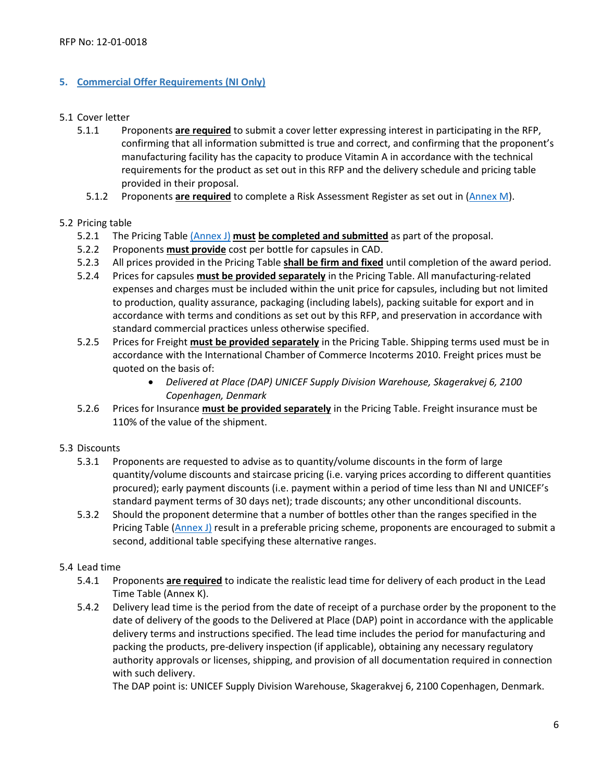## <span id="page-5-0"></span>**5. Commercial Offer Requirements (NI Only)**

#### 5.1 Cover letter

- 5.1.1 Proponents **are required** to submit a cover letter expressing interest in participating in the RFP, confirming that all information submitted is true and correct, and confirming that the proponent's manufacturing facility has the capacity to produce Vitamin A in accordance with the technical requirements for the product as set out in this RFP and the delivery schedule and pricing table provided in their proposal.
	- 5.1.2 Proponents **are required** to complete a Risk Assessment Register as set out in [\(Annex M\)](https://www.nutritionintl.org/content/user_files/2019/05/ANNEX-I-M_Ingredients-Pricing-Delivery-References.xlsx).

## 5.2 Pricing table

- 5.2.1 The Pricing Table [\(Annex J\)](https://www.nutritionintl.org/content/user_files/2019/05/ANNEX-I-M_Ingredients-Pricing-Delivery-References.xlsx) **must be completed and submitted** as part of the proposal.
- 5.2.2 Proponents **must provide** cost per bottle for capsules in CAD.
- 5.2.3 All prices provided in the Pricing Table **shall be firm and fixed** until completion of the award period.
- 5.2.4 Prices for capsules **must be provided separately** in the Pricing Table. All manufacturing-related expenses and charges must be included within the unit price for capsules, including but not limited to production, quality assurance, packaging (including labels), packing suitable for export and in accordance with terms and conditions as set out by this RFP, and preservation in accordance with standard commercial practices unless otherwise specified.
- 5.2.5 Prices for Freight **must be provided separately** in the Pricing Table. Shipping terms used must be in accordance with the International Chamber of Commerce Incoterms 2010. Freight prices must be quoted on the basis of:
	- *Delivered at Place (DAP) UNICEF Supply Division Warehouse, Skagerakvej 6, 2100 Copenhagen, Denmark*
- 5.2.6 Prices for Insurance **must be provided separately** in the Pricing Table. Freight insurance must be 110% of the value of the shipment.

# 5.3 Discounts

- 5.3.1 Proponents are requested to advise as to quantity/volume discounts in the form of large quantity/volume discounts and staircase pricing (i.e. varying prices according to different quantities procured); early payment discounts (i.e. payment within a period of time less than NI and UNICEF's standard payment terms of 30 days net); trade discounts; any other unconditional discounts.
- 5.3.2 Should the proponent determine that a number of bottles other than the ranges specified in the Pricing Table [\(Annex J\)](hhttps://www.nutritionintl.org/content/user_files/2019/05/ANNEX-I-M_Ingredients-Pricing-Delivery-References.xlsx) result in a preferable pricing scheme, proponents are encouraged to submit a second, additional table specifying these alternative ranges.

# 5.4 Lead time

- 5.4.1 Proponents **are required** to indicate the realistic lead time for delivery of each product in the Lead Time Table (Annex K).
- 5.4.2 Delivery lead time is the period from the date of receipt of a purchase order by the proponent to the date of delivery of the goods to the Delivered at Place (DAP) point in accordance with the applicable delivery terms and instructions specified. The lead time includes the period for manufacturing and packing the products, pre-delivery inspection (if applicable), obtaining any necessary regulatory authority approvals or licenses, shipping, and provision of all documentation required in connection with such delivery.

The DAP point is: UNICEF Supply Division Warehouse, Skagerakvej 6, 2100 Copenhagen, Denmark.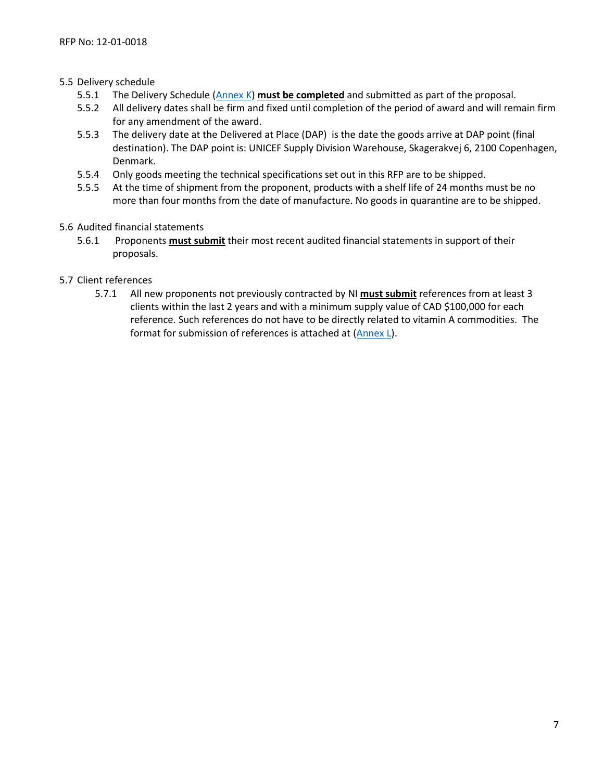## 5.5 Delivery schedule

- 5.5.1 The Delivery Schedule [\(Annex K\)](https://www.nutritionintl.org/content/user_files/2019/05/ANNEX-I-M_Ingredients-Pricing-Delivery-References.xlsx) **must be completed** and submitted as part of the proposal.
- 5.5.2 All delivery dates shall be firm and fixed until completion of the period of award and will remain firm for any amendment of the award.
- 5.5.3 The delivery date at the Delivered at Place (DAP) is the date the goods arrive at DAP point (final destination). The DAP point is: UNICEF Supply Division Warehouse, Skagerakvej 6, 2100 Copenhagen, Denmark.
- 5.5.4 Only goods meeting the technical specifications set out in this RFP are to be shipped.
- 5.5.5 At the time of shipment from the proponent, products with a shelf life of 24 months must be no more than four months from the date of manufacture. No goods in quarantine are to be shipped.
- 5.6 Audited financial statements
	- 5.6.1 Proponents **must submit** their most recent audited financial statements in support of their proposals.
- 5.7 Client references
	- 5.7.1 All new proponents not previously contracted by NI **must submit** references from at least 3 clients within the last 2 years and with a minimum supply value of CAD \$100,000 for each reference. Such references do not have to be directly related to vitamin A commodities. The format for submission of references is attached at [\(Annex L\)](https://www.nutritionintl.org/content/user_files/2019/05/ANNEX-I-M_Ingredients-Pricing-Delivery-References.xlsx).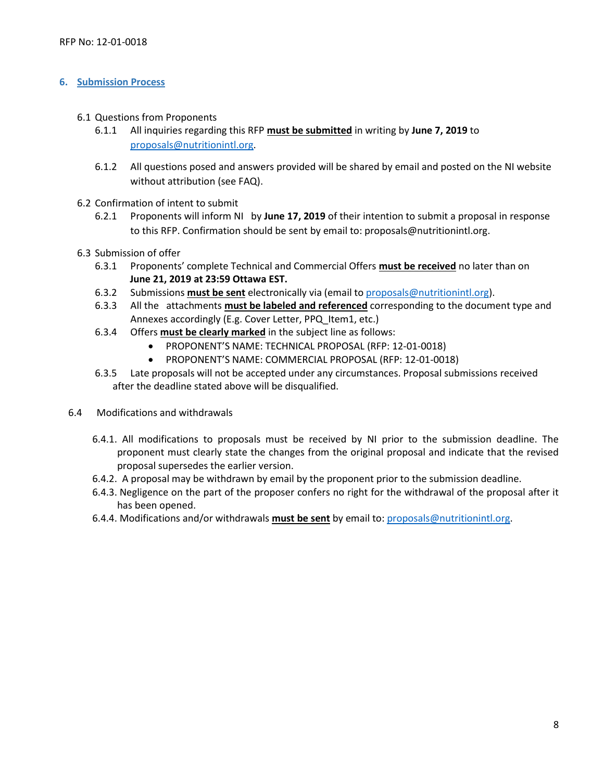#### <span id="page-7-0"></span>**6. Submission Process**

- 6.1 Questions from Proponents
	- 6.1.1 All inquiries regarding this RFP **must be submitted** in writing by **June 7, 2019** to [proposals@nutritionintl.org.](mailto:proposals@nutritionintl.org)
	- 6.1.2 All questions posed and answers provided will be shared by email and posted on the NI website without attribution (see FAQ).
- 6.2 Confirmation of intent to submit
	- 6.2.1 Proponents will inform NI by **June 17, 2019** of their intention to submit a proposal in response to this RFP. Confirmation should be sent by email to[: proposals@nutritionintl.org.](mailto:proposals@nutritionintl.org)
- 6.3 Submission of offer
	- 6.3.1 Proponents' complete Technical and Commercial Offers **must be received** no later than on **June 21, 2019 at 23:59 Ottawa EST.**
	- 6.3.2 Submissions **must be sent** electronically via (email to [proposals@nutritionintl.org\)](mailto:proposals@nutritionintl.org).
	- 6.3.3 All the attachments **must be labeled and referenced** corresponding to the document type and Annexes accordingly (E.g. Cover Letter, PPQ\_Item1, etc.)
	- 6.3.4 Offers **must be clearly marked** in the subject line as follows:
		- PROPONENT'S NAME: TECHNICAL PROPOSAL (RFP: 12-01-0018)
		- PROPONENT'S NAME: COMMERCIAL PROPOSAL (RFP: 12-01-0018)
	- 6.3.5 Late proposals will not be accepted under any circumstances. Proposal submissions received after the deadline stated above will be disqualified.
- 6.4 Modifications and withdrawals
	- 6.4.1. All modifications to proposals must be received by NI prior to the submission deadline. The proponent must clearly state the changes from the original proposal and indicate that the revised proposal supersedes the earlier version.
	- 6.4.2. A proposal may be withdrawn by email by the proponent prior to the submission deadline.
	- 6.4.3. Negligence on the part of the proposer confers no right for the withdrawal of the proposal after it has been opened.
	- 6.4.4. Modifications and/or withdrawals **must be sent** by email to: [proposals@nutritionintl.org.](mailto:proposals@nutritionintl.org)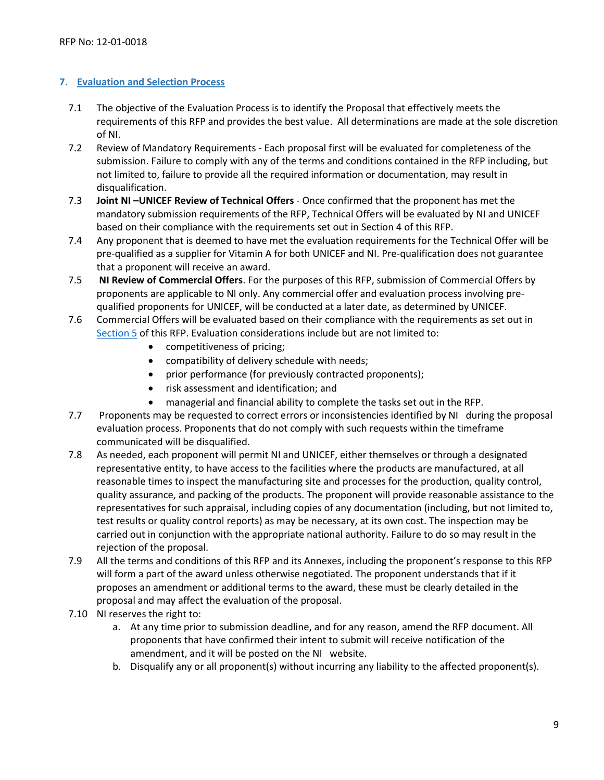## <span id="page-8-0"></span>**7. Evaluation and Selection Process**

- 7.1 The objective of the Evaluation Process is to identify the Proposal that effectively meets the requirements of this RFP and provides the best value. All determinations are made at the sole discretion of NI.
- 7.2 Review of Mandatory Requirements Each proposal first will be evaluated for completeness of the submission. Failure to comply with any of the terms and conditions contained in the RFP including, but not limited to, failure to provide all the required information or documentation, may result in disqualification.
- 7.3 **Joint NI –UNICEF Review of Technical Offers** Once confirmed that the proponent has met the mandatory submission requirements of the RFP, Technical Offers will be evaluated by NI and UNICEF based on their compliance with the requirements set out in [Section 4](#page-2-1) of this RFP.
- 7.4 Any proponent that is deemed to have met the evaluation requirements for the Technical Offer will be pre-qualified as a supplier for Vitamin A for both UNICEF and NI. Pre-qualification does not guarantee that a proponent will receive an award.
- 7.5 **NI Review of Commercial Offers**. For the purposes of this RFP, submission of Commercial Offers by proponents are applicable to NI only. Any commercial offer and evaluation process involving prequalified proponents for UNICEF, will be conducted at a later date, as determined by UNICEF.
- 7.6 Commercial Offers will be evaluated based on their compliance with the requirements as set out in [Section 5](#page-4-0) of this RFP. Evaluation considerations include but are not limited to:
	- competitiveness of pricing;
	- compatibility of delivery schedule with needs;
	- prior performance (for previously contracted proponents);
	- risk assessment and identification; and
	- managerial and financial ability to complete the tasks set out in the RFP.
- 7.7 Proponents may be requested to correct errors or inconsistencies identified by NI during the proposal evaluation process. Proponents that do not comply with such requests within the timeframe communicated will be disqualified.
- 7.8 As needed, each proponent will permit NI and UNICEF, either themselves or through a designated representative entity, to have access to the facilities where the products are manufactured, at all reasonable times to inspect the manufacturing site and processes for the production, quality control, quality assurance, and packing of the products. The proponent will provide reasonable assistance to the representatives for such appraisal, including copies of any documentation (including, but not limited to, test results or quality control reports) as may be necessary, at its own cost. The inspection may be carried out in conjunction with the appropriate national authority. Failure to do so may result in the rejection of the proposal.
- 7.9 All the terms and conditions of this RFP and its Annexes, including the proponent's response to this RFP will form a part of the award unless otherwise negotiated. The proponent understands that if it proposes an amendment or additional terms to the award, these must be clearly detailed in the proposal and may affect the evaluation of the proposal.
- 7.10 NI reserves the right to:
	- a. At any time prior to submission deadline, and for any reason, amend the RFP document. All proponents that have confirmed their intent to submit will receive notification of the amendment, and it will be posted on the NI website.
	- b. Disqualify any or all proponent(s) without incurring any liability to the affected proponent(s).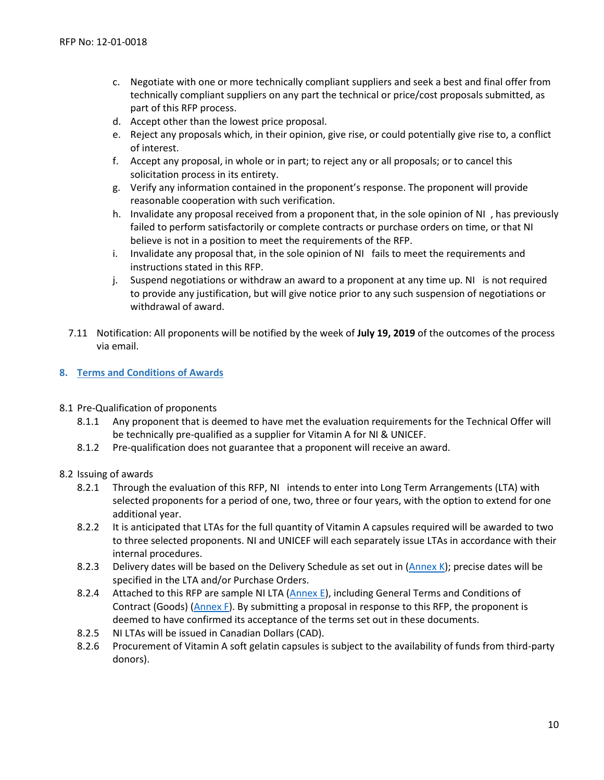- c. Negotiate with one or more technically compliant suppliers and seek a best and final offer from technically compliant suppliers on any part the technical or price/cost proposals submitted, as part of this RFP process.
- d. Accept other than the lowest price proposal.
- e. Reject any proposals which, in their opinion, give rise, or could potentially give rise to, a conflict of interest.
- f. Accept any proposal, in whole or in part; to reject any or all proposals; or to cancel this solicitation process in its entirety.
- g. Verify any information contained in the proponent's response. The proponent will provide reasonable cooperation with such verification.
- h. Invalidate any proposal received from a proponent that, in the sole opinion of NI , has previously failed to perform satisfactorily or complete contracts or purchase orders on time, or that NI believe is not in a position to meet the requirements of the RFP.
- i. Invalidate any proposal that, in the sole opinion of NI fails to meet the requirements and instructions stated in this RFP.
- j. Suspend negotiations or withdraw an award to a proponent at any time up. NI is not required to provide any justification, but will give notice prior to any such suspension of negotiations or withdrawal of award.
- 7.11 Notification: All proponents will be notified by the week of **July 19, 2019** of the outcomes of the process via email.

#### <span id="page-9-0"></span>**8. Terms and Conditions of Awards**

- 8.1 Pre-Qualification of proponents
	- 8.1.1 Any proponent that is deemed to have met the evaluation requirements for the Technical Offer will be technically pre-qualified as a supplier for Vitamin A for NI & UNICEF.
	- 8.1.2 Pre-qualification does not guarantee that a proponent will receive an award.

#### 8.2 Issuing of awards

- 8.2.1 Through the evaluation of this RFP, NI intends to enter into Long Term Arrangements (LTA) with selected proponents for a period of one, two, three or four years, with the option to extend for one additional year.
- 8.2.2 It is anticipated that LTAs for the full quantity of Vitamin A capsules required will be awarded to two to three selected proponents. NI and UNICEF will each separately issue LTAs in accordance with their internal procedures.
- 8.2.3 Delivery dates will be based on the Delivery Schedule as set out in [\(Annex K\)](https://www.nutritionintl.org/content/user_files/2019/05/ANNEX-I-M_Ingredients-Pricing-Delivery-References.xlsx); precise dates will be specified in the LTA and/or Purchase Orders.
- 8.2.4 Attached to this RFP are sample NI LTA [\(Annex E\)](https://www.nutritionintl.org/content/user_files/2019/05/Annex-E_Nutrition_International_-Long-Term-Agreement-for-Goods.pdf), including General Terms and Conditions of Contract (Goods) [\(Annex F\)](https://www.nutritionintl.org/content/user_files/2019/05/Annex-F_GENERAL_TERMS-and-CONDITIONS_GOODS_2017.pdf). By submitting a proposal in response to this RFP, the proponent is deemed to have confirmed its acceptance of the terms set out in these documents.
- 8.2.5 NI LTAs will be issued in Canadian Dollars (CAD).
- 8.2.6 Procurement of Vitamin A soft gelatin capsules is subject to the availability of funds from third-party donors).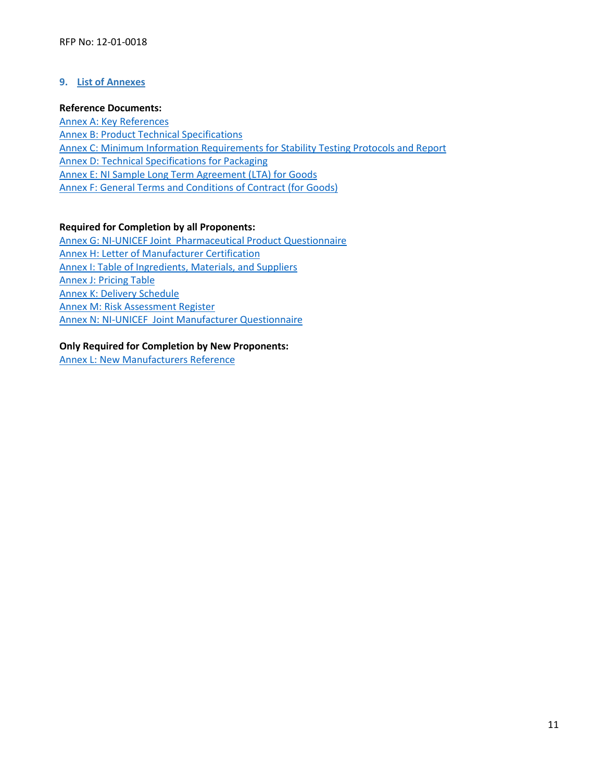## <span id="page-10-0"></span>**9. List of Annexes**

#### **Reference Documents:**

<span id="page-10-5"></span><span id="page-10-4"></span><span id="page-10-3"></span><span id="page-10-2"></span><span id="page-10-1"></span>[Annex A: Key](https://www.nutritionintl.org/content/user_files/2019/05/ANNEX-A_Key-References.pdf) References [Annex B: Product Technical Specifications](https://www.nutritionintl.org/content/user_files/2019/05/Annex-B_VAC-Technical-Specification_final.pdf) [Annex C: Minimum Information Requirements for Stability Testing Protocols and Report](https://www.nutritionintl.org/content/user_files/2019/05/Annex-C_Minimum-Information-Requirements-for-Stability-Testing-Protocols-and-Reports.pdf) [Annex D: Technical Specifications for Packaging](https://www.nutritionintl.org/content/user_files/2019/05/Annex-D_Technical-Specifications-for-Packaging.pdf) [Annex E: NI Sample Long Term Agreement \(LTA\) for Goods](https://www.nutritionintl.org/content/user_files/2019/05/Annex-E_Nutrition_International_-Long-Term-Agreement-for-Goods.pdf) [Annex F: General Terms and Conditions](https://www.nutritionintl.org/content/user_files/2019/05/Annex-F_GENERAL_TERMS-and-CONDITIONS_GOODS_2017.pdf) of Contract (for Goods)

## <span id="page-10-6"></span>**Required for Completion by all Proponents:**

<span id="page-10-10"></span><span id="page-10-9"></span><span id="page-10-8"></span><span id="page-10-7"></span>[Annex G: NI-UNICEF Joint Pharmaceutical Product Questionnaire](https://www.nutritionintl.org/content/user_files/2019/05/Annex-G_NI-UNICEF-PPQ_Final.pdf) [Annex H: Letter of Manufacturer Certification](https://www.nutritionintl.org/content/user_files/2019/05/ANNEX-H_Letter-of-Certification.pdf) [Annex I: Table of Ingredients, Materials, and Suppliers](https://www.nutritionintl.org/content/user_files/2019/05/ANNEX-I-M_Ingredients-Pricing-Delivery-References.xlsx) [Annex J: Pricing Table](https://www.nutritionintl.org/content/user_files/2019/05/ANNEX-I-M_Ingredients-Pricing-Delivery-References.xlsx) Annex K: [Delivery Schedule](https://www.nutritionintl.org/content/user_files/2019/05/ANNEX-I-M_Ingredients-Pricing-Delivery-References.xlsx) [Annex M: Risk Assessment Register](https://www.nutritionintl.org/content/user_files/2019/05/ANNEX-I-M_Ingredients-Pricing-Delivery-References.xlsx) Annex N: NI-UNICEF [Joint Manufacturer Questionnaire](https://www.nutritionintl.org/content/user_files/2019/05/Annex-N_NI-UNICEF-MQ-Final.pdf)

## **Only Required for Completion by New Proponents:**

<span id="page-10-11"></span>[Annex L: New Manufacturers Reference](https://www.nutritionintl.org/content/user_files/2019/05/ANNEX-I-M_Ingredients-Pricing-Delivery-References.xlsx)